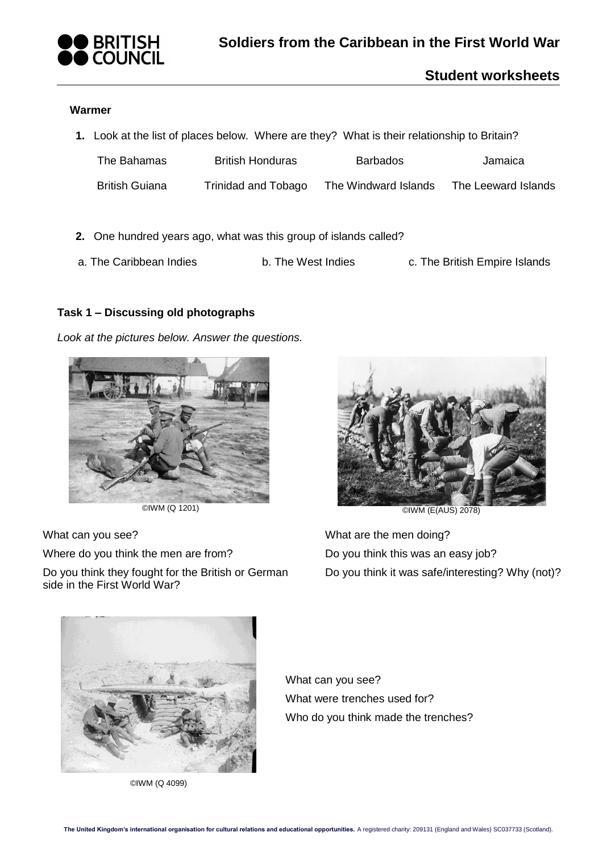

# **Student worksheets**

### **Warmer**

| 1. Look at the list of places below. Where are they? What is their relationship to Britain? |                  |          |         |
|---------------------------------------------------------------------------------------------|------------------|----------|---------|
| The Bahamas                                                                                 | British Honduras | Barbados | Jamaica |

| <b>British Guiana</b> | Trinidad and Tobago | The Windward Islands | The Leeward Islands |
|-----------------------|---------------------|----------------------|---------------------|

- **2.** One hundred years ago, what was this group of islands called?
- a. The Caribbean Indies b. The West Indies c. The British Empire Islands

## **Task 1 – Discussing old photographs**

*Look at the pictures below. Answer the questions.*



What can you see?

Where do you think the men are from?

Do you think they fought for the British or German side in the First World War?



What are the men doing? Do you think this was an easy job? Do you think it was safe/interesting? Why (not)?



©IWM (Q 4099)

What can you see? What were trenches used for? Who do you think made the trenches?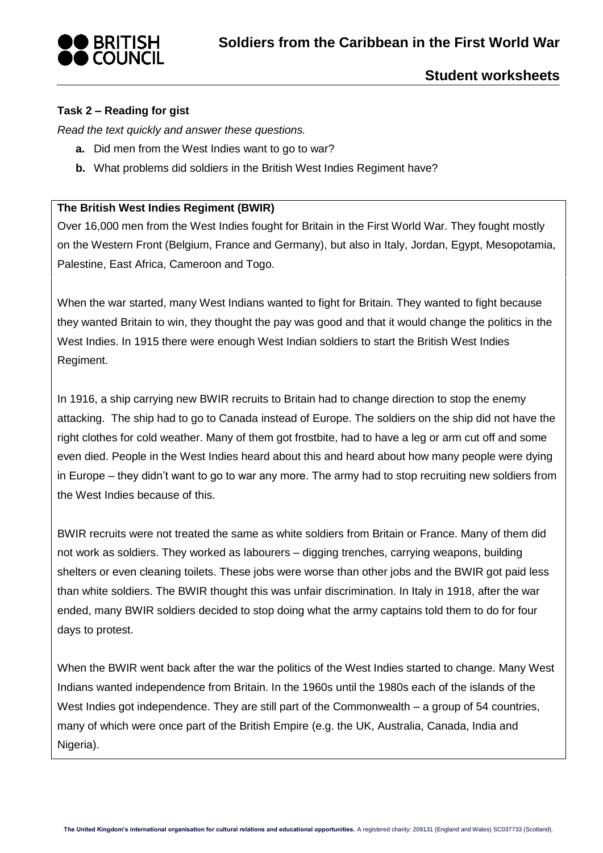## **Task 2 – Reading for gist**

*Read the text quickly and answer these questions.* 

- **a.** Did men from the West Indies want to go to war?
- **b.** What problems did soldiers in the British West Indies Regiment have?

### **The British West Indies Regiment (BWIR)**

Over 16,000 men from the West Indies fought for Britain in the First World War. They fought mostly on the Western Front (Belgium, France and Germany), but also in Italy, Jordan, Egypt, Mesopotamia, Palestine, East Africa, Cameroon and Togo.

When the war started, many West Indians wanted to fight for Britain. They wanted to fight because they wanted Britain to win, they thought the pay was good and that it would change the politics in the West Indies. In 1915 there were enough West Indian soldiers to start the British West Indies Regiment.

In 1916, a ship carrying new BWIR recruits to Britain had to change direction to stop the enemy attacking. The ship had to go to Canada instead of Europe. The soldiers on the ship did not have the right clothes for cold weather. Many of them got frostbite, had to have a leg or arm cut off and some even died. People in the West Indies heard about this and heard about how many people were dying in Europe – they didn't want to go to war any more. The army had to stop recruiting new soldiers from the West Indies because of this.

BWIR recruits were not treated the same as white soldiers from Britain or France. Many of them did not work as soldiers. They worked as labourers – digging trenches, carrying weapons, building shelters or even cleaning toilets. These jobs were worse than other jobs and the BWIR got paid less than white soldiers. The BWIR thought this was unfair discrimination. In Italy in 1918, after the war ended, many BWIR soldiers decided to stop doing what the army captains told them to do for four days to protest.

When the BWIR went back after the war the politics of the West Indies started to change. Many West Indians wanted independence from Britain. In the 1960s until the 1980s each of the islands of the West Indies got independence. They are still part of the Commonwealth – a group of 54 countries, many of which were once part of the British Empire (e.g. the UK, Australia, Canada, India and Nigeria).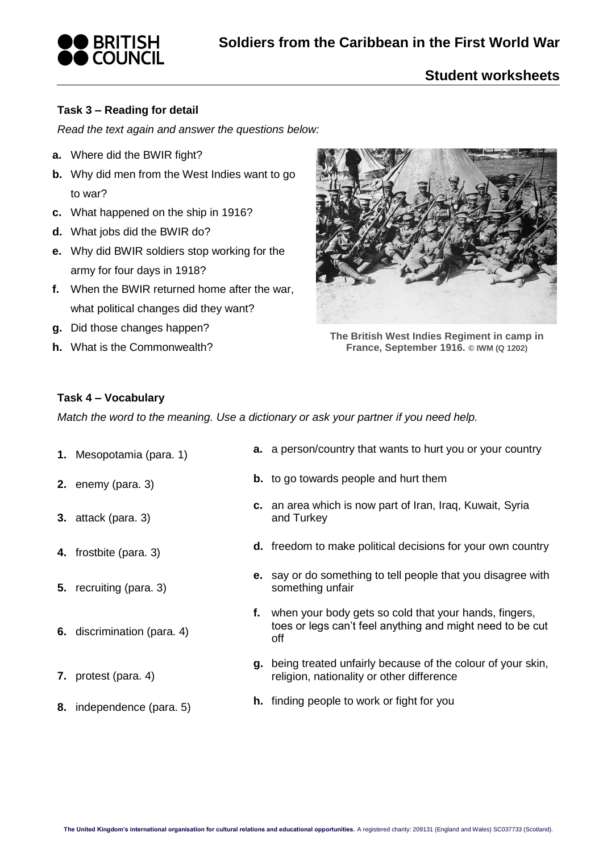

### **Task 3 – Reading for detail**

*Read the text again and answer the questions below:*

- **a.** Where did the BWIR fight?
- **b.** Why did men from the West Indies want to go to war?
- **c.** What happened on the ship in 1916?
- **d.** What jobs did the BWIR do?
- **e.** Why did BWIR soldiers stop working for the army for four days in 1918?
- **f.** When the BWIR returned home after the war, what political changes did they want?
- **g.** Did those changes happen?
- **h.** What is the Commonwealth?



**The British West Indies Regiment in camp in France, September 1916. © IWM (Q 1202)**

#### **Task 4 – Vocabulary**

*Match the word to the meaning. Use a dictionary or ask your partner if you need help.*

- 
- 
- **3.** attack (para. 3)
- 
- **5.** recruiting (para. 3)

**7.** protest (para. 4)

**6.** discrimination (para. 4)

- **1.** Mesopotamia (para. 1) **a.** a person/country that wants to hurt you or your country
- **2.** enemy (para. 3) **b.** to go towards people and hurt them
	- **c.** an area which is now part of Iran, Iraq, Kuwait, Syria and Turkey
- **4.** frostbite (para. 3) **d.** freedom to make political decisions for your own country
	- **e.** say or do something to tell people that you disagree with something unfair
	- **f.** when your body gets so cold that your hands, fingers, toes or legs can't feel anything and might need to be cut off
	- **g.** being treated unfairly because of the colour of your skin, religion, nationality or other difference
	-
- **8.** independence (para. 5) **h.** finding people to work or fight for you